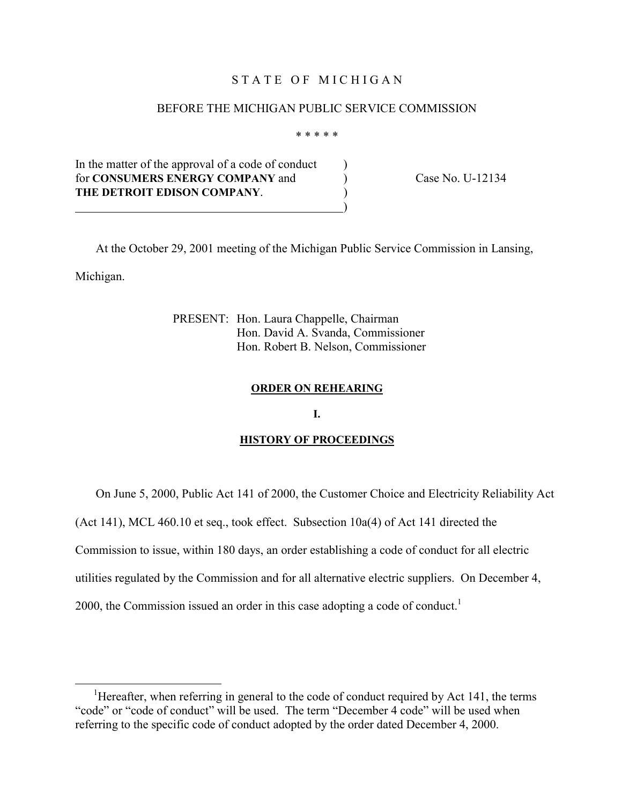# STATE OF MICHIGAN

### BEFORE THE MICHIGAN PUBLIC SERVICE COMMISSION

\* \* \* \* \*

In the matter of the approval of a code of conduct  $\qquad$ for **CONSUMERS ENERGY COMPANY** and ) Case No. U-12134 **THE DETROIT EDISON COMPANY**. ) )

 At the October 29, 2001 meeting of the Michigan Public Service Commission in Lansing, Michigan.

> PRESENT: Hon. Laura Chappelle, Chairman Hon. David A. Svanda, Commissioner Hon. Robert B. Nelson, Commissioner

#### **ORDER ON REHEARING**

#### **I.**

#### **HISTORY OF PROCEEDINGS**

On June 5, 2000, Public Act 141 of 2000, the Customer Choice and Electricity Reliability Act

(Act 141), MCL 460.10 et seq., took effect. Subsection 10a(4) of Act 141 directed the

Commission to issue, within 180 days, an order establishing a code of conduct for all electric

utilities regulated by the Commission and for all alternative electric suppliers. On December 4,

2000, the Commission issued an order in this case adopting a code of conduct.<sup>1</sup>

 $\frac{1}{1}$ <sup>1</sup>Hereafter, when referring in general to the code of conduct required by Act 141, the terms "code" or "code of conduct" will be used. The term "December 4 code" will be used when referring to the specific code of conduct adopted by the order dated December 4, 2000.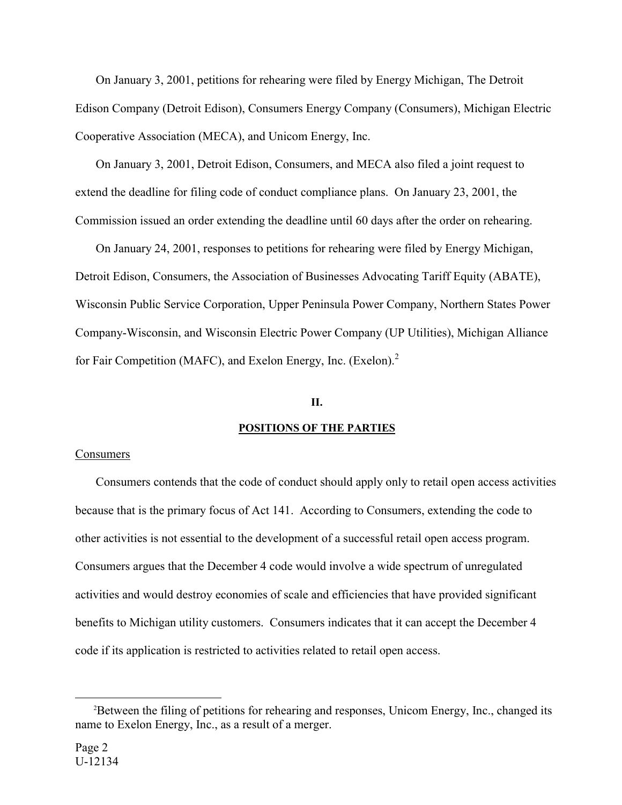On January 3, 2001, petitions for rehearing were filed by Energy Michigan, The Detroit Edison Company (Detroit Edison), Consumers Energy Company (Consumers), Michigan Electric Cooperative Association (MECA), and Unicom Energy, Inc.

 On January 3, 2001, Detroit Edison, Consumers, and MECA also filed a joint request to extend the deadline for filing code of conduct compliance plans. On January 23, 2001, the Commission issued an order extending the deadline until 60 days after the order on rehearing.

 On January 24, 2001, responses to petitions for rehearing were filed by Energy Michigan, Detroit Edison, Consumers, the Association of Businesses Advocating Tariff Equity (ABATE), Wisconsin Public Service Corporation, Upper Peninsula Power Company, Northern States Power Company-Wisconsin, and Wisconsin Electric Power Company (UP Utilities), Michigan Alliance for Fair Competition (MAFC), and Exelon Energy, Inc. (Exelon).<sup>2</sup>

# **II.**

### **POSITIONS OF THE PARTIES**

### Consumers

 Consumers contends that the code of conduct should apply only to retail open access activities because that is the primary focus of Act 141. According to Consumers, extending the code to other activities is not essential to the development of a successful retail open access program. Consumers argues that the December 4 code would involve a wide spectrum of unregulated activities and would destroy economies of scale and efficiencies that have provided significant benefits to Michigan utility customers. Consumers indicates that it can accept the December 4 code if its application is restricted to activities related to retail open access.

 $\overline{\phantom{a}}$ <sup>2</sup>Between the filing of petitions for rehearing and responses, Unicom Energy, Inc., changed its name to Exelon Energy, Inc., as a result of a merger.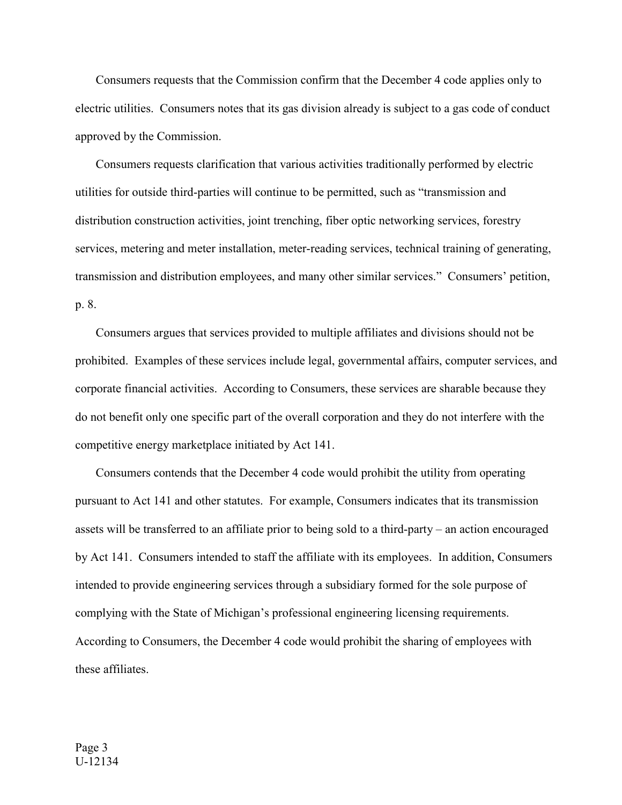Consumers requests that the Commission confirm that the December 4 code applies only to electric utilities. Consumers notes that its gas division already is subject to a gas code of conduct approved by the Commission.

 Consumers requests clarification that various activities traditionally performed by electric utilities for outside third-parties will continue to be permitted, such as "transmission and distribution construction activities, joint trenching, fiber optic networking services, forestry services, metering and meter installation, meter-reading services, technical training of generating, transmission and distribution employees, and many other similar services." Consumers' petition, p. 8.

 Consumers argues that services provided to multiple affiliates and divisions should not be prohibited. Examples of these services include legal, governmental affairs, computer services, and corporate financial activities. According to Consumers, these services are sharable because they do not benefit only one specific part of the overall corporation and they do not interfere with the competitive energy marketplace initiated by Act 141.

 Consumers contends that the December 4 code would prohibit the utility from operating pursuant to Act 141 and other statutes. For example, Consumers indicates that its transmission assets will be transferred to an affiliate prior to being sold to a third-party – an action encouraged by Act 141. Consumers intended to staff the affiliate with its employees. In addition, Consumers intended to provide engineering services through a subsidiary formed for the sole purpose of complying with the State of Michigan's professional engineering licensing requirements. According to Consumers, the December 4 code would prohibit the sharing of employees with these affiliates.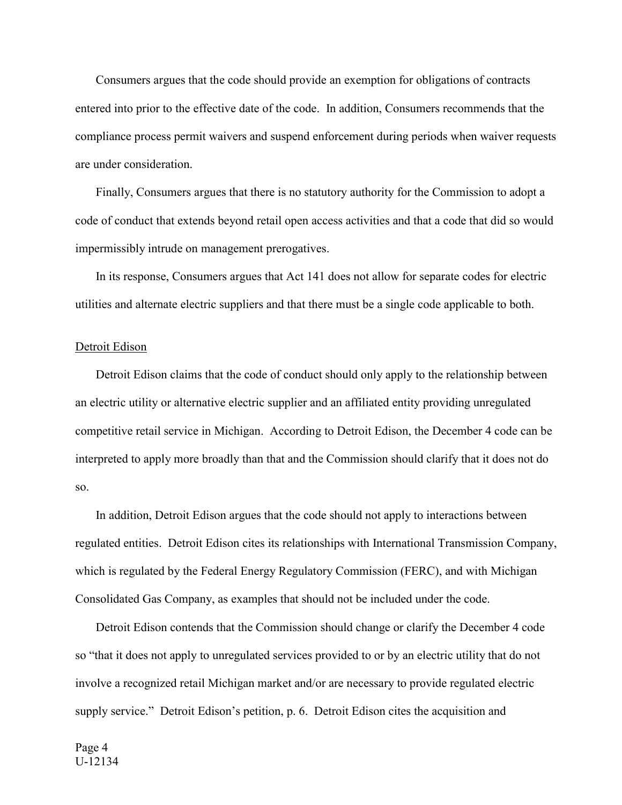Consumers argues that the code should provide an exemption for obligations of contracts entered into prior to the effective date of the code. In addition, Consumers recommends that the compliance process permit waivers and suspend enforcement during periods when waiver requests are under consideration.

 Finally, Consumers argues that there is no statutory authority for the Commission to adopt a code of conduct that extends beyond retail open access activities and that a code that did so would impermissibly intrude on management prerogatives.

 In its response, Consumers argues that Act 141 does not allow for separate codes for electric utilities and alternate electric suppliers and that there must be a single code applicable to both.

### Detroit Edison

 Detroit Edison claims that the code of conduct should only apply to the relationship between an electric utility or alternative electric supplier and an affiliated entity providing unregulated competitive retail service in Michigan. According to Detroit Edison, the December 4 code can be interpreted to apply more broadly than that and the Commission should clarify that it does not do so.

 In addition, Detroit Edison argues that the code should not apply to interactions between regulated entities. Detroit Edison cites its relationships with International Transmission Company, which is regulated by the Federal Energy Regulatory Commission (FERC), and with Michigan Consolidated Gas Company, as examples that should not be included under the code.

 Detroit Edison contends that the Commission should change or clarify the December 4 code so "that it does not apply to unregulated services provided to or by an electric utility that do not involve a recognized retail Michigan market and/or are necessary to provide regulated electric supply service." Detroit Edison's petition, p. 6. Detroit Edison cites the acquisition and

Page 4 U-12134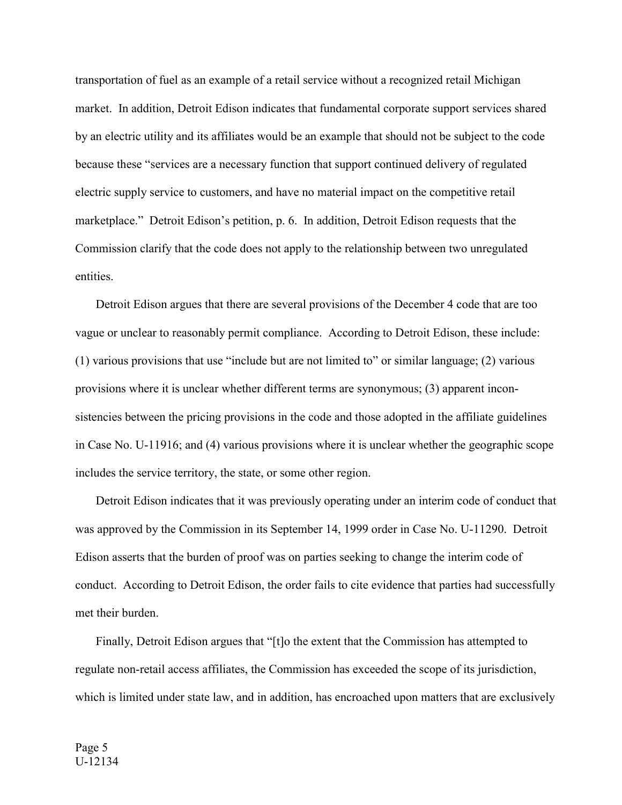transportation of fuel as an example of a retail service without a recognized retail Michigan market. In addition, Detroit Edison indicates that fundamental corporate support services shared by an electric utility and its affiliates would be an example that should not be subject to the code because these "services are a necessary function that support continued delivery of regulated electric supply service to customers, and have no material impact on the competitive retail marketplace." Detroit Edison's petition, p. 6. In addition, Detroit Edison requests that the Commission clarify that the code does not apply to the relationship between two unregulated entities.

 Detroit Edison argues that there are several provisions of the December 4 code that are too vague or unclear to reasonably permit compliance. According to Detroit Edison, these include: (1) various provisions that use "include but are not limited to" or similar language; (2) various provisions where it is unclear whether different terms are synonymous; (3) apparent inconsistencies between the pricing provisions in the code and those adopted in the affiliate guidelines in Case No. U-11916; and (4) various provisions where it is unclear whether the geographic scope includes the service territory, the state, or some other region.

 Detroit Edison indicates that it was previously operating under an interim code of conduct that was approved by the Commission in its September 14, 1999 order in Case No. U-11290. Detroit Edison asserts that the burden of proof was on parties seeking to change the interim code of conduct. According to Detroit Edison, the order fails to cite evidence that parties had successfully met their burden.

 Finally, Detroit Edison argues that "[t]o the extent that the Commission has attempted to regulate non-retail access affiliates, the Commission has exceeded the scope of its jurisdiction, which is limited under state law, and in addition, has encroached upon matters that are exclusively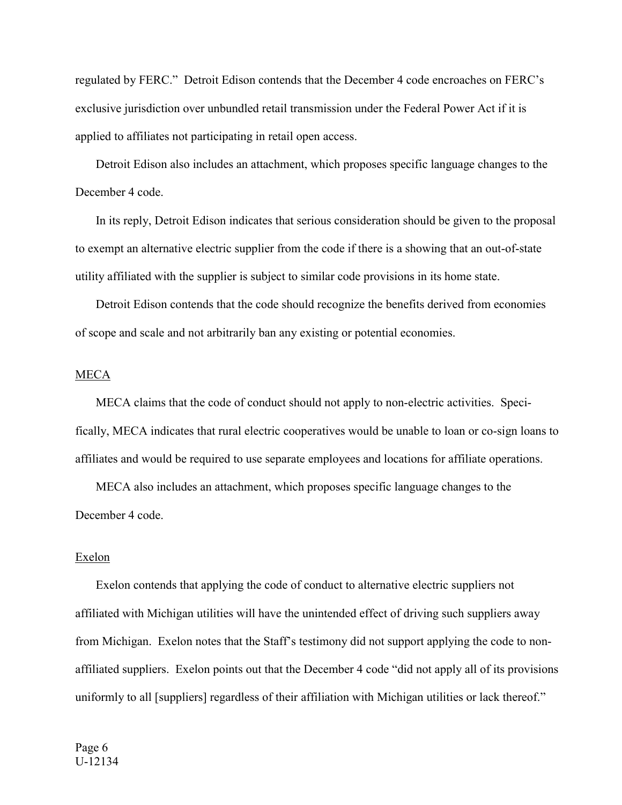regulated by FERC." Detroit Edison contends that the December 4 code encroaches on FERC's exclusive jurisdiction over unbundled retail transmission under the Federal Power Act if it is applied to affiliates not participating in retail open access.

 Detroit Edison also includes an attachment, which proposes specific language changes to the December 4 code.

 In its reply, Detroit Edison indicates that serious consideration should be given to the proposal to exempt an alternative electric supplier from the code if there is a showing that an out-of-state utility affiliated with the supplier is subject to similar code provisions in its home state.

 Detroit Edison contends that the code should recognize the benefits derived from economies of scope and scale and not arbitrarily ban any existing or potential economies.

# **MECA**

 MECA claims that the code of conduct should not apply to non-electric activities. Specifically, MECA indicates that rural electric cooperatives would be unable to loan or co-sign loans to affiliates and would be required to use separate employees and locations for affiliate operations.

 MECA also includes an attachment, which proposes specific language changes to the December 4 code.

#### Exelon

 Exelon contends that applying the code of conduct to alternative electric suppliers not affiliated with Michigan utilities will have the unintended effect of driving such suppliers away from Michigan. Exelon notes that the Staff's testimony did not support applying the code to nonaffiliated suppliers. Exelon points out that the December 4 code "did not apply all of its provisions uniformly to all [suppliers] regardless of their affiliation with Michigan utilities or lack thereof."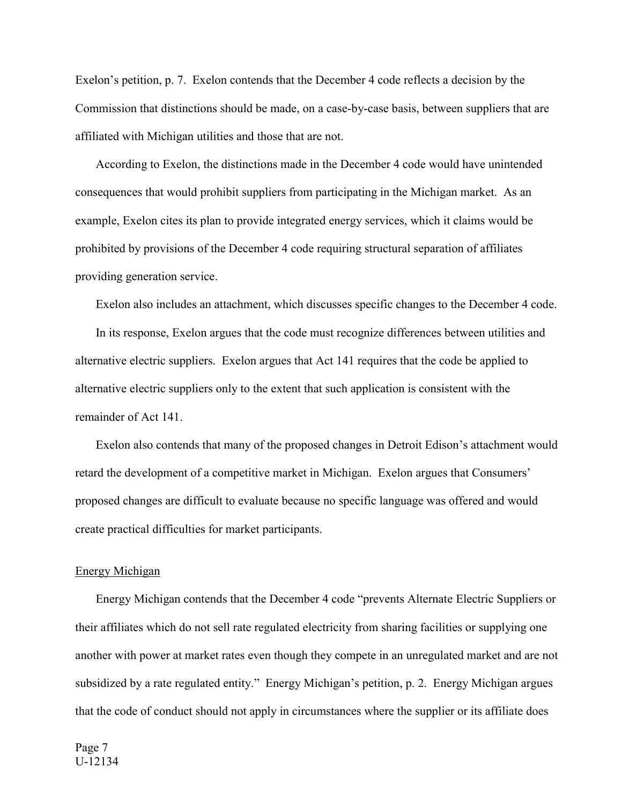Exelon's petition, p. 7. Exelon contends that the December 4 code reflects a decision by the Commission that distinctions should be made, on a case-by-case basis, between suppliers that are affiliated with Michigan utilities and those that are not.

 According to Exelon, the distinctions made in the December 4 code would have unintended consequences that would prohibit suppliers from participating in the Michigan market. As an example, Exelon cites its plan to provide integrated energy services, which it claims would be prohibited by provisions of the December 4 code requiring structural separation of affiliates providing generation service.

Exelon also includes an attachment, which discusses specific changes to the December 4 code.

 In its response, Exelon argues that the code must recognize differences between utilities and alternative electric suppliers. Exelon argues that Act 141 requires that the code be applied to alternative electric suppliers only to the extent that such application is consistent with the remainder of Act 141.

 Exelon also contends that many of the proposed changes in Detroit Edison's attachment would retard the development of a competitive market in Michigan. Exelon argues that Consumers' proposed changes are difficult to evaluate because no specific language was offered and would create practical difficulties for market participants.

### Energy Michigan

 Energy Michigan contends that the December 4 code "prevents Alternate Electric Suppliers or their affiliates which do not sell rate regulated electricity from sharing facilities or supplying one another with power at market rates even though they compete in an unregulated market and are not subsidized by a rate regulated entity." Energy Michigan's petition, p. 2. Energy Michigan argues that the code of conduct should not apply in circumstances where the supplier or its affiliate does

Page 7 U-12134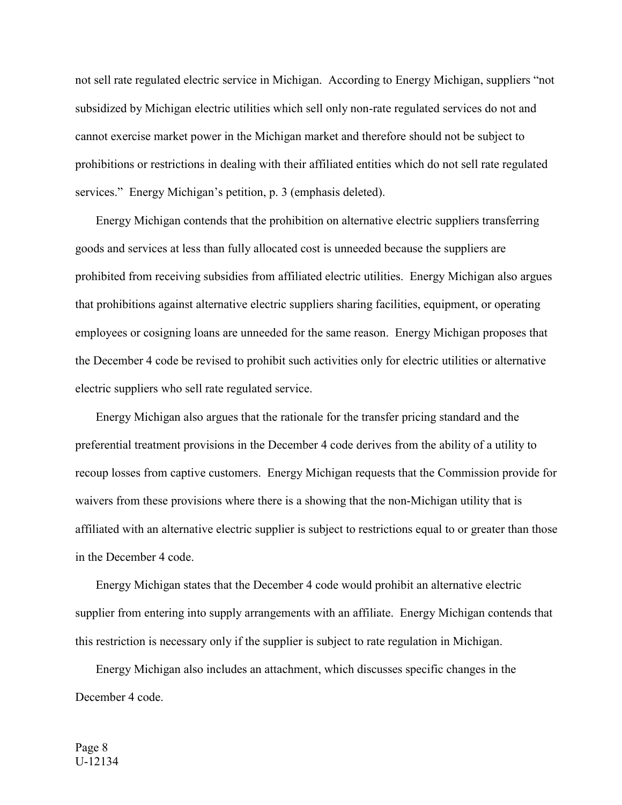not sell rate regulated electric service in Michigan. According to Energy Michigan, suppliers "not subsidized by Michigan electric utilities which sell only non-rate regulated services do not and cannot exercise market power in the Michigan market and therefore should not be subject to prohibitions or restrictions in dealing with their affiliated entities which do not sell rate regulated services." Energy Michigan's petition, p. 3 (emphasis deleted).

 Energy Michigan contends that the prohibition on alternative electric suppliers transferring goods and services at less than fully allocated cost is unneeded because the suppliers are prohibited from receiving subsidies from affiliated electric utilities. Energy Michigan also argues that prohibitions against alternative electric suppliers sharing facilities, equipment, or operating employees or cosigning loans are unneeded for the same reason. Energy Michigan proposes that the December 4 code be revised to prohibit such activities only for electric utilities or alternative electric suppliers who sell rate regulated service.

 Energy Michigan also argues that the rationale for the transfer pricing standard and the preferential treatment provisions in the December 4 code derives from the ability of a utility to recoup losses from captive customers. Energy Michigan requests that the Commission provide for waivers from these provisions where there is a showing that the non-Michigan utility that is affiliated with an alternative electric supplier is subject to restrictions equal to or greater than those in the December 4 code.

 Energy Michigan states that the December 4 code would prohibit an alternative electric supplier from entering into supply arrangements with an affiliate. Energy Michigan contends that this restriction is necessary only if the supplier is subject to rate regulation in Michigan.

 Energy Michigan also includes an attachment, which discusses specific changes in the December 4 code.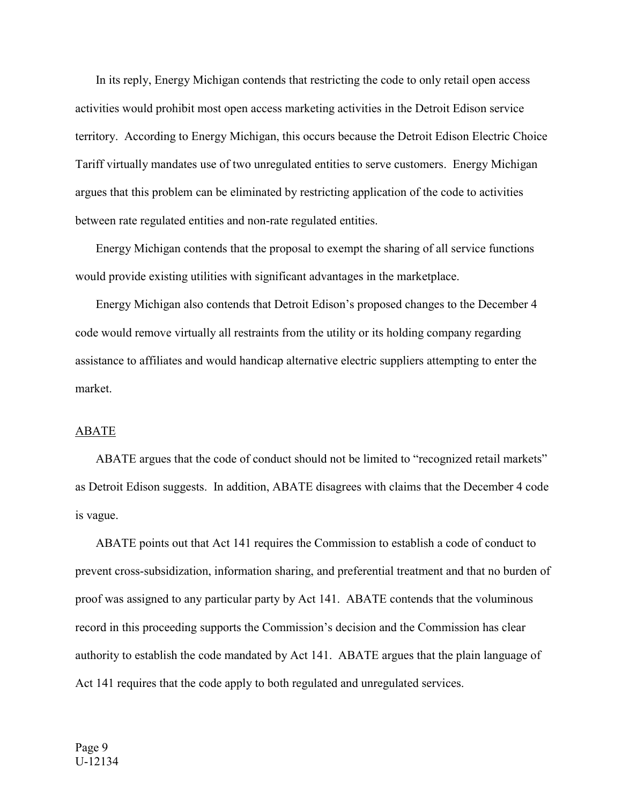In its reply, Energy Michigan contends that restricting the code to only retail open access activities would prohibit most open access marketing activities in the Detroit Edison service territory. According to Energy Michigan, this occurs because the Detroit Edison Electric Choice Tariff virtually mandates use of two unregulated entities to serve customers. Energy Michigan argues that this problem can be eliminated by restricting application of the code to activities between rate regulated entities and non-rate regulated entities.

 Energy Michigan contends that the proposal to exempt the sharing of all service functions would provide existing utilities with significant advantages in the marketplace.

 Energy Michigan also contends that Detroit Edison's proposed changes to the December 4 code would remove virtually all restraints from the utility or its holding company regarding assistance to affiliates and would handicap alternative electric suppliers attempting to enter the market.

### ABATE

 ABATE argues that the code of conduct should not be limited to "recognized retail markets" as Detroit Edison suggests. In addition, ABATE disagrees with claims that the December 4 code is vague.

 ABATE points out that Act 141 requires the Commission to establish a code of conduct to prevent cross-subsidization, information sharing, and preferential treatment and that no burden of proof was assigned to any particular party by Act 141. ABATE contends that the voluminous record in this proceeding supports the Commission's decision and the Commission has clear authority to establish the code mandated by Act 141. ABATE argues that the plain language of Act 141 requires that the code apply to both regulated and unregulated services.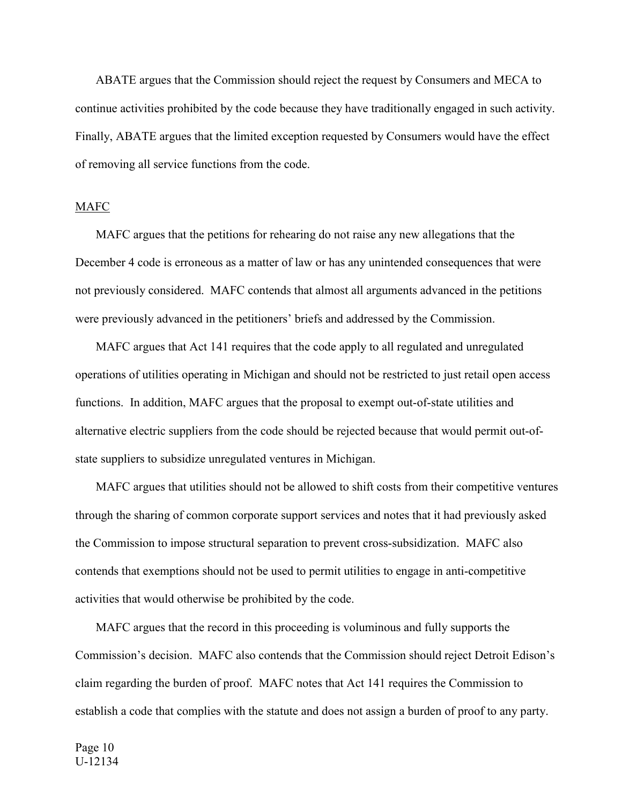ABATE argues that the Commission should reject the request by Consumers and MECA to continue activities prohibited by the code because they have traditionally engaged in such activity. Finally, ABATE argues that the limited exception requested by Consumers would have the effect of removing all service functions from the code.

# MAFC

 MAFC argues that the petitions for rehearing do not raise any new allegations that the December 4 code is erroneous as a matter of law or has any unintended consequences that were not previously considered. MAFC contends that almost all arguments advanced in the petitions were previously advanced in the petitioners' briefs and addressed by the Commission.

 MAFC argues that Act 141 requires that the code apply to all regulated and unregulated operations of utilities operating in Michigan and should not be restricted to just retail open access functions. In addition, MAFC argues that the proposal to exempt out-of-state utilities and alternative electric suppliers from the code should be rejected because that would permit out-ofstate suppliers to subsidize unregulated ventures in Michigan.

 MAFC argues that utilities should not be allowed to shift costs from their competitive ventures through the sharing of common corporate support services and notes that it had previously asked the Commission to impose structural separation to prevent cross-subsidization. MAFC also contends that exemptions should not be used to permit utilities to engage in anti-competitive activities that would otherwise be prohibited by the code.

 MAFC argues that the record in this proceeding is voluminous and fully supports the Commission's decision. MAFC also contends that the Commission should reject Detroit Edison's claim regarding the burden of proof. MAFC notes that Act 141 requires the Commission to establish a code that complies with the statute and does not assign a burden of proof to any party.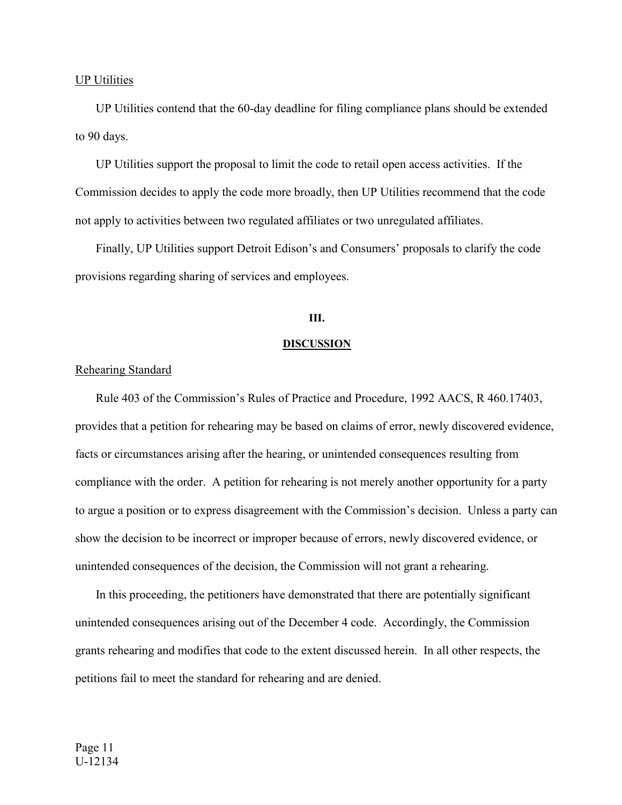### UP Utilities

 UP Utilities contend that the 60-day deadline for filing compliance plans should be extended to 90 days.

 UP Utilities support the proposal to limit the code to retail open access activities. If the Commission decides to apply the code more broadly, then UP Utilities recommend that the code not apply to activities between two regulated affiliates or two unregulated affiliates.

 Finally, UP Utilities support Detroit Edison's and Consumers' proposals to clarify the code provisions regarding sharing of services and employees.

# **III.**

#### **DISCUSSION**

# Rehearing Standard

 Rule 403 of the Commission's Rules of Practice and Procedure, 1992 AACS, R 460.17403, provides that a petition for rehearing may be based on claims of error, newly discovered evidence, facts or circumstances arising after the hearing, or unintended consequences resulting from compliance with the order. A petition for rehearing is not merely another opportunity for a party to argue a position or to express disagreement with the Commission's decision. Unless a party can show the decision to be incorrect or improper because of errors, newly discovered evidence, or unintended consequences of the decision, the Commission will not grant a rehearing.

 In this proceeding, the petitioners have demonstrated that there are potentially significant unintended consequences arising out of the December 4 code. Accordingly, the Commission grants rehearing and modifies that code to the extent discussed herein. In all other respects, the petitions fail to meet the standard for rehearing and are denied.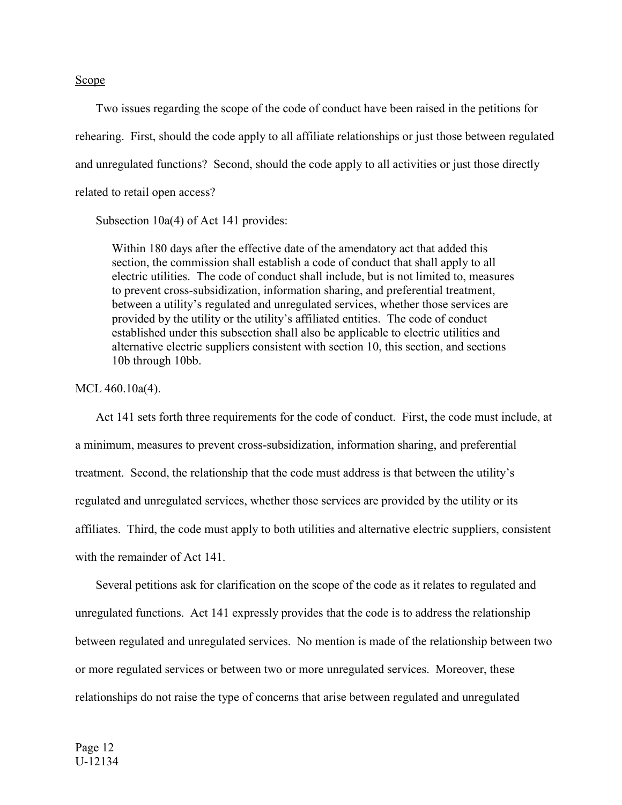#### Scope

 Two issues regarding the scope of the code of conduct have been raised in the petitions for rehearing. First, should the code apply to all affiliate relationships or just those between regulated and unregulated functions? Second, should the code apply to all activities or just those directly related to retail open access?

Subsection 10a(4) of Act 141 provides:

Within 180 days after the effective date of the amendatory act that added this section, the commission shall establish a code of conduct that shall apply to all electric utilities. The code of conduct shall include, but is not limited to, measures to prevent cross-subsidization, information sharing, and preferential treatment, between a utility's regulated and unregulated services, whether those services are provided by the utility or the utility's affiliated entities. The code of conduct established under this subsection shall also be applicable to electric utilities and alternative electric suppliers consistent with section 10, this section, and sections 10b through 10bb.

### MCL 460.10a(4).

 Act 141 sets forth three requirements for the code of conduct. First, the code must include, at a minimum, measures to prevent cross-subsidization, information sharing, and preferential treatment. Second, the relationship that the code must address is that between the utility's regulated and unregulated services, whether those services are provided by the utility or its affiliates. Third, the code must apply to both utilities and alternative electric suppliers, consistent with the remainder of Act 141.

 Several petitions ask for clarification on the scope of the code as it relates to regulated and unregulated functions. Act 141 expressly provides that the code is to address the relationship between regulated and unregulated services. No mention is made of the relationship between two or more regulated services or between two or more unregulated services. Moreover, these relationships do not raise the type of concerns that arise between regulated and unregulated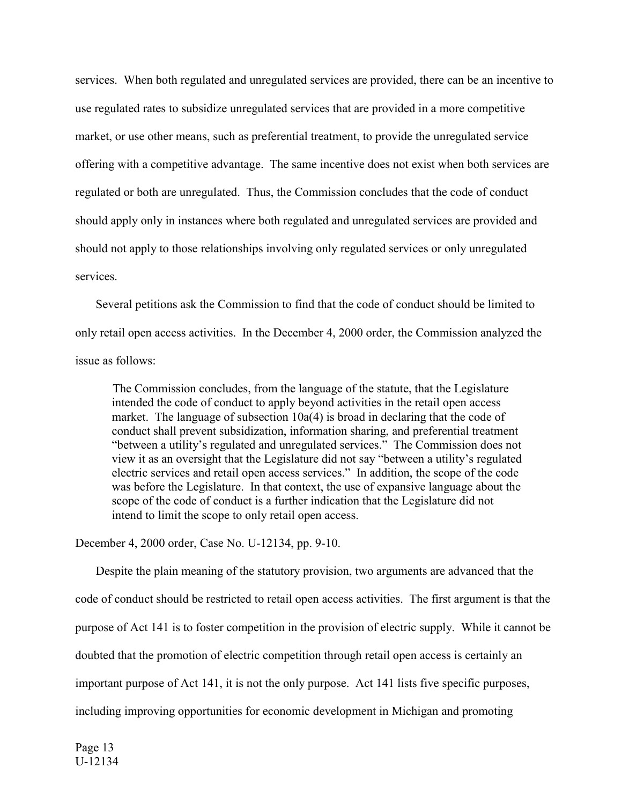services. When both regulated and unregulated services are provided, there can be an incentive to use regulated rates to subsidize unregulated services that are provided in a more competitive market, or use other means, such as preferential treatment, to provide the unregulated service offering with a competitive advantage. The same incentive does not exist when both services are regulated or both are unregulated. Thus, the Commission concludes that the code of conduct should apply only in instances where both regulated and unregulated services are provided and should not apply to those relationships involving only regulated services or only unregulated services.

 Several petitions ask the Commission to find that the code of conduct should be limited to only retail open access activities. In the December 4, 2000 order, the Commission analyzed the issue as follows:

 The Commission concludes, from the language of the statute, that the Legislature intended the code of conduct to apply beyond activities in the retail open access market. The language of subsection 10a(4) is broad in declaring that the code of conduct shall prevent subsidization, information sharing, and preferential treatment "between a utility's regulated and unregulated services." The Commission does not view it as an oversight that the Legislature did not say "between a utility's regulated electric services and retail open access services." In addition, the scope of the code was before the Legislature. In that context, the use of expansive language about the scope of the code of conduct is a further indication that the Legislature did not intend to limit the scope to only retail open access.

December 4, 2000 order, Case No. U-12134, pp. 9-10.

 Despite the plain meaning of the statutory provision, two arguments are advanced that the code of conduct should be restricted to retail open access activities. The first argument is that the purpose of Act 141 is to foster competition in the provision of electric supply. While it cannot be doubted that the promotion of electric competition through retail open access is certainly an important purpose of Act 141, it is not the only purpose. Act 141 lists five specific purposes, including improving opportunities for economic development in Michigan and promoting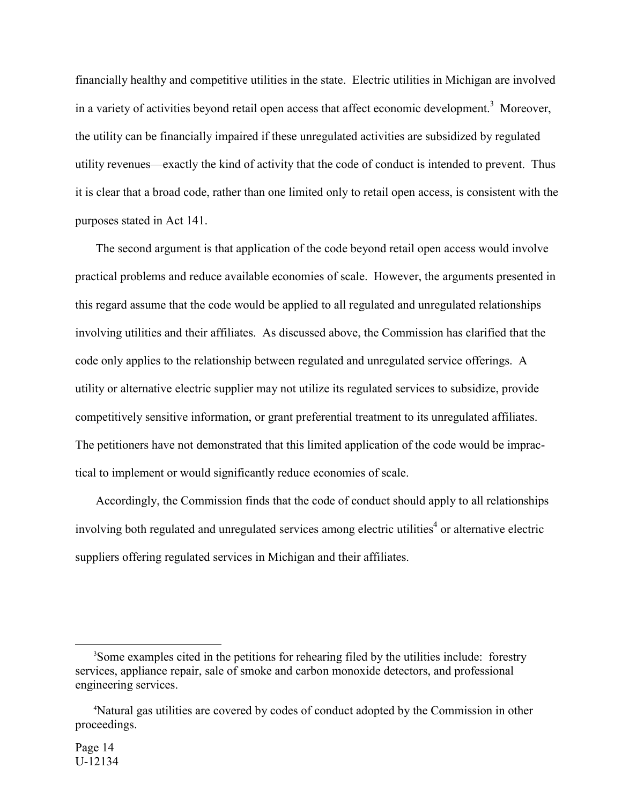financially healthy and competitive utilities in the state. Electric utilities in Michigan are involved in a variety of activities beyond retail open access that affect economic development.<sup>3</sup> Moreover, the utility can be financially impaired if these unregulated activities are subsidized by regulated utility revenues—exactly the kind of activity that the code of conduct is intended to prevent. Thus it is clear that a broad code, rather than one limited only to retail open access, is consistent with the purposes stated in Act 141.

 The second argument is that application of the code beyond retail open access would involve practical problems and reduce available economies of scale. However, the arguments presented in this regard assume that the code would be applied to all regulated and unregulated relationships involving utilities and their affiliates. As discussed above, the Commission has clarified that the code only applies to the relationship between regulated and unregulated service offerings. A utility or alternative electric supplier may not utilize its regulated services to subsidize, provide competitively sensitive information, or grant preferential treatment to its unregulated affiliates. The petitioners have not demonstrated that this limited application of the code would be impractical to implement or would significantly reduce economies of scale.

 Accordingly, the Commission finds that the code of conduct should apply to all relationships involving both regulated and unregulated services among electric utilities<sup>4</sup> or alternative electric suppliers offering regulated services in Michigan and their affiliates.

 $\frac{1}{3}$ Some examples cited in the petitions for rehearing filed by the utilities include: forestry services, appliance repair, sale of smoke and carbon monoxide detectors, and professional engineering services.

<sup>4</sup> Natural gas utilities are covered by codes of conduct adopted by the Commission in other proceedings.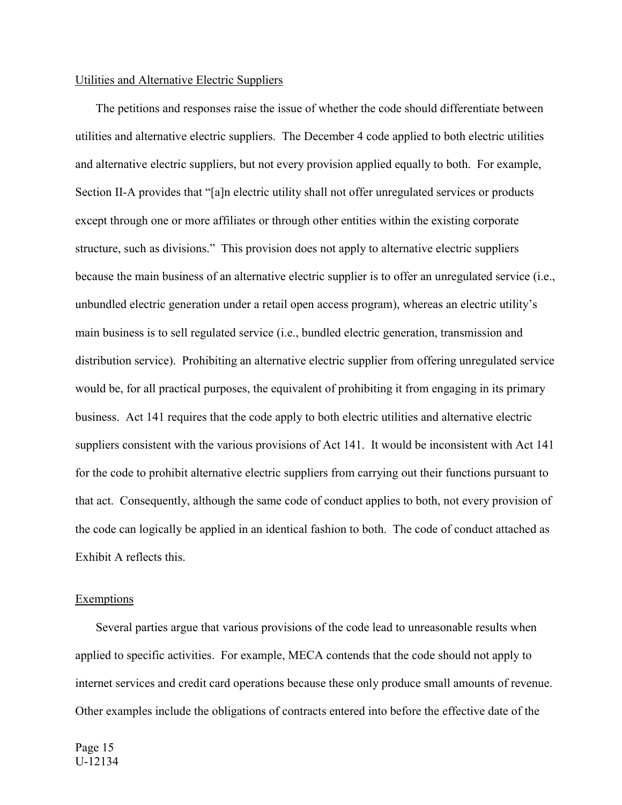### Utilities and Alternative Electric Suppliers

 The petitions and responses raise the issue of whether the code should differentiate between utilities and alternative electric suppliers. The December 4 code applied to both electric utilities and alternative electric suppliers, but not every provision applied equally to both. For example, Section II-A provides that "[a]n electric utility shall not offer unregulated services or products except through one or more affiliates or through other entities within the existing corporate structure, such as divisions." This provision does not apply to alternative electric suppliers because the main business of an alternative electric supplier is to offer an unregulated service (i.e., unbundled electric generation under a retail open access program), whereas an electric utility's main business is to sell regulated service (i.e., bundled electric generation, transmission and distribution service). Prohibiting an alternative electric supplier from offering unregulated service would be, for all practical purposes, the equivalent of prohibiting it from engaging in its primary business. Act 141 requires that the code apply to both electric utilities and alternative electric suppliers consistent with the various provisions of Act 141. It would be inconsistent with Act 141 for the code to prohibit alternative electric suppliers from carrying out their functions pursuant to that act. Consequently, although the same code of conduct applies to both, not every provision of the code can logically be applied in an identical fashion to both. The code of conduct attached as Exhibit A reflects this.

### Exemptions

 Several parties argue that various provisions of the code lead to unreasonable results when applied to specific activities. For example, MECA contends that the code should not apply to internet services and credit card operations because these only produce small amounts of revenue. Other examples include the obligations of contracts entered into before the effective date of the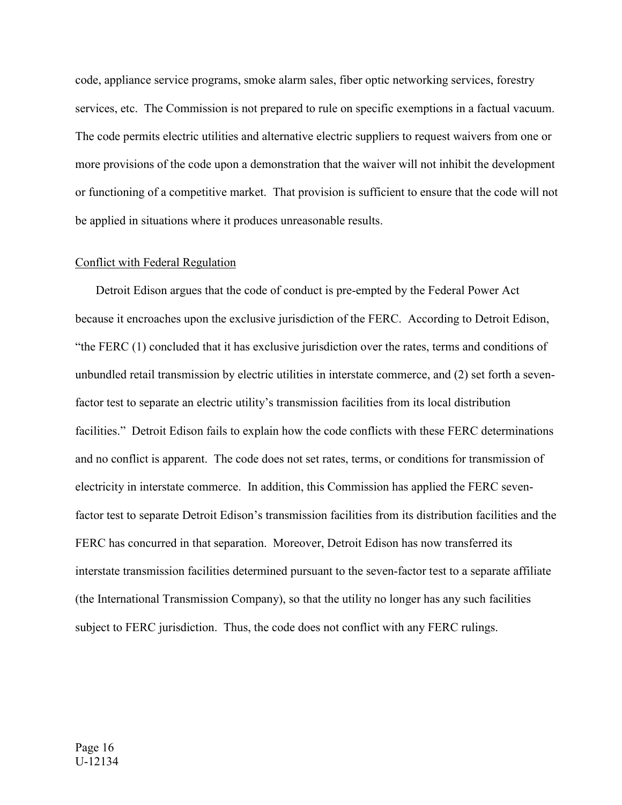code, appliance service programs, smoke alarm sales, fiber optic networking services, forestry services, etc. The Commission is not prepared to rule on specific exemptions in a factual vacuum. The code permits electric utilities and alternative electric suppliers to request waivers from one or more provisions of the code upon a demonstration that the waiver will not inhibit the development or functioning of a competitive market. That provision is sufficient to ensure that the code will not be applied in situations where it produces unreasonable results.

### Conflict with Federal Regulation

 Detroit Edison argues that the code of conduct is pre-empted by the Federal Power Act because it encroaches upon the exclusive jurisdiction of the FERC. According to Detroit Edison, "the FERC (1) concluded that it has exclusive jurisdiction over the rates, terms and conditions of unbundled retail transmission by electric utilities in interstate commerce, and (2) set forth a sevenfactor test to separate an electric utility's transmission facilities from its local distribution facilities." Detroit Edison fails to explain how the code conflicts with these FERC determinations and no conflict is apparent. The code does not set rates, terms, or conditions for transmission of electricity in interstate commerce. In addition, this Commission has applied the FERC sevenfactor test to separate Detroit Edison's transmission facilities from its distribution facilities and the FERC has concurred in that separation. Moreover, Detroit Edison has now transferred its interstate transmission facilities determined pursuant to the seven-factor test to a separate affiliate (the International Transmission Company), so that the utility no longer has any such facilities subject to FERC jurisdiction. Thus, the code does not conflict with any FERC rulings.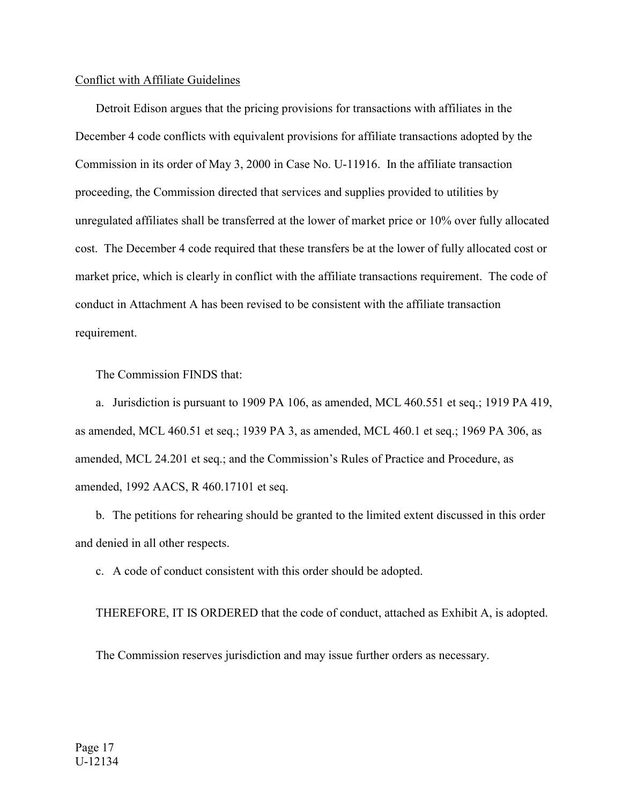### Conflict with Affiliate Guidelines

 Detroit Edison argues that the pricing provisions for transactions with affiliates in the December 4 code conflicts with equivalent provisions for affiliate transactions adopted by the Commission in its order of May 3, 2000 in Case No. U-11916. In the affiliate transaction proceeding, the Commission directed that services and supplies provided to utilities by unregulated affiliates shall be transferred at the lower of market price or 10% over fully allocated cost. The December 4 code required that these transfers be at the lower of fully allocated cost or market price, which is clearly in conflict with the affiliate transactions requirement. The code of conduct in Attachment A has been revised to be consistent with the affiliate transaction requirement.

The Commission FINDS that:

 a. Jurisdiction is pursuant to 1909 PA 106, as amended, MCL 460.551 et seq.; 1919 PA 419, as amended, MCL 460.51 et seq.; 1939 PA 3, as amended, MCL 460.1 et seq.; 1969 PA 306, as amended, MCL 24.201 et seq.; and the Commission's Rules of Practice and Procedure, as amended, 1992 AACS, R 460.17101 et seq.

 b. The petitions for rehearing should be granted to the limited extent discussed in this order and denied in all other respects.

c. A code of conduct consistent with this order should be adopted.

THEREFORE, IT IS ORDERED that the code of conduct, attached as Exhibit A, is adopted.

The Commission reserves jurisdiction and may issue further orders as necessary.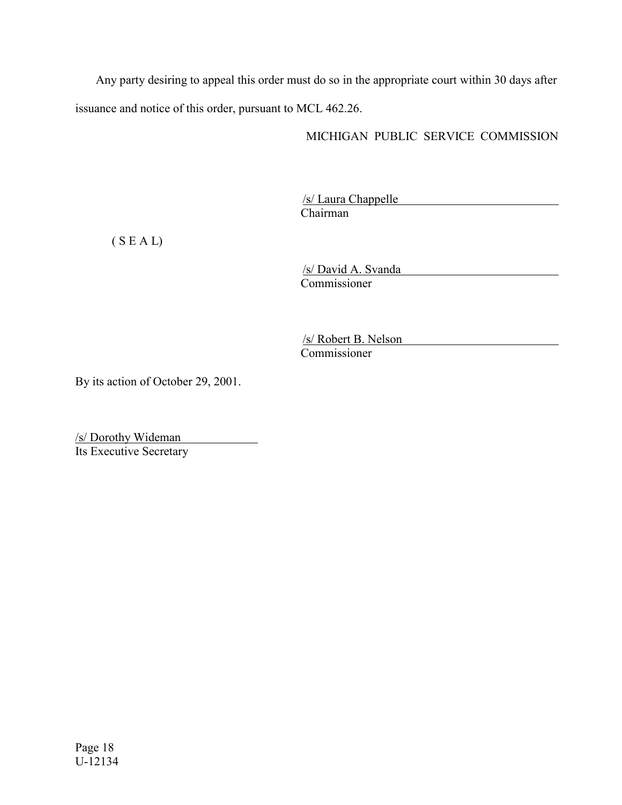Any party desiring to appeal this order must do so in the appropriate court within 30 days after issuance and notice of this order, pursuant to MCL 462.26.

# MICHIGAN PUBLIC SERVICE COMMISSION

/s/ Laura Chappelle Chairman

 $(S E A L)$ 

/s/ David A. Svanda Commissioner

/s/ Robert B. Nelson Commissioner

By its action of October 29, 2001.

/s/ Dorothy Wideman Its Executive Secretary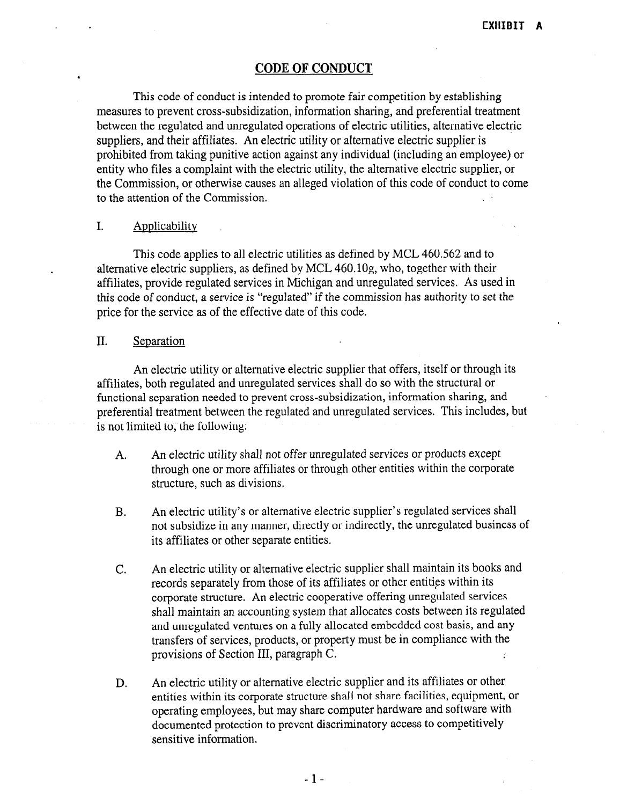### CODE OF CONDUCT

This code of conduct is intended to promote fair competition by establishing measures to prevent cross-subsidization, information sharing, and preferential treatment between the regulated and unregulated operations of electric utilities, alternative electric suppliers, and their affiliates. An electric utility or alternative electric supplier is prohibited from taking punitive action against any individual (including an employee) or entity who files a complaint with the electric utility, the alternative electric supplier, or the Commission, or otherwise causes an alleged violation of this code of conduct to come to the attention of the Commission.

#### I. Applicability

This code applies to all electric utilities as defined by MCL 460.562 and to alternative electric suppliers, as defined by MCL 46O.lOg, who, together with their affiliates, provide regulated services in Michigan and unregulated services. As used in this code of conduct, a service is "regulated" if the commission has authority to set the price for the service as of the effective date of this code.

### II. Separation

An electric utility or alternative electric supplier that offers, itself or through its affiliates, both regulated and unregulated services shall do so with the structural or functional separation needed to prevent cross-subsidization, information sharing, and preferential treatment between the regulated and unregulated services. This includes, but is not limited to, the following:

- $A = \begin{bmatrix} A_1 & A_2 & A_3 & A_4 \end{bmatrix}$  shows the proof of products exception of products exceptions of products exceptions of products exceptions of products exceptions of products exceptions of products exceptions of products e An cicente anny shan not oner amegatates services or products except through one or more affiliates or through other entities within the corporate structure, such as divisions.
- B. An electric utility's or alternative electric supplier's regulated services shall An electric utinty s or alternative electric supplier is regulated services sharp not subsidize in any manner, directly or indirectly, the unregulated business of its affiliates or other separate entities.
- C. An electric utility or alternative electric supplier shall maintain its books and An electric utility or alternative electric supplier shall mailitain its book records separately from those of its affiliates or other entities within its corporate structure. An electric cooperative offering unregulated services shall maintain an accounting system that allocates costs between its regulated and unregulated ventures on a fully allocated embedded cost basis, and any transfers of services, products, or property must be in compliance with the provisions of Section III, paragraph C.
- An electric utility or alternative electric supplier and its affiliates or other D. entities within its corporate structure shall not share facilities, equipment, or operating employees, but may share computer hardware and software with documented protection to prevent discriminatory access to competitively sensitive information.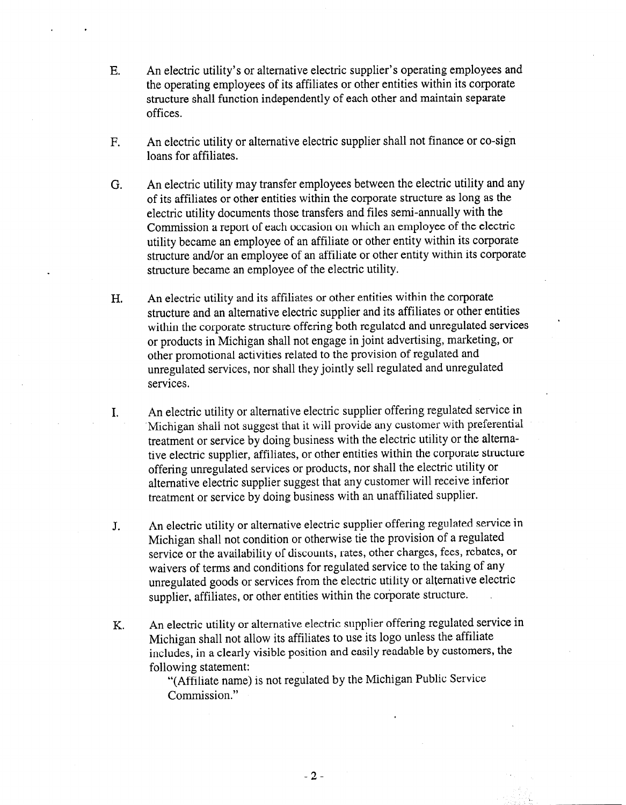- E. An electric utility's or alternative electric supplier's operating employees and the operating employees of its affiliates or other entities within its corporate structure shall function independently of each other and maintain separate offices.
- F. An electric utility or alternative electric supplier shall not finance or co-sign loans for affiliates.
- G. An electric utility may transfer employees between the electric utility and any of its affiliates or other entities within the corporate structure as long as the electric utility documents those transfers and files semi-annually with the Commission a report of each occasion on which an employee of the electric utility became an employee of an affiliate or other entity within its corporate structure and/or an employee of an affiliate or other entity within its corporate structure became an employee of the electric utility.
- H. An electric utility and its affiliates or other entities within the corporate structure and an alternative electric supplier and its affiliates or other entities within the corporate structure offering both regulated and unregulated services or products in Michigan shall not engage in joint advertising, marketing, or other promotional activities related to the provision of regulated and unregulated services, nor shall they jointly sell regulated and unregulated services.
- I. An electric utility or alternative electric supplier offering regulated service in 'Michigan shall not suggest that it will provide any customer with preferential treatment or service by doing business with the electric utility or the altemative electric supplier, affiliates, or other entities within the corporate structure offering unregulated services or products, nor shall the electric utility or alternative electric supplier suggest that any customer will receive inferior treatment or service by doing business with an unaffiliated supplier.
- J. An electric utility or alternative electric supplier offering regulated service in Michigan shall not condition or otherwise tie the provision of a regulated service or the availability of discounts, rates, other charges, fees, rebates, or waivers of terms and conditions for regulated service to the taking of any unregulated goods or services from the electric utility or alternative electric supplier, affiliates, or other entities within the corporate structure.
- K. An electric utility or alternative electric supplier offering regulated service in Michigan shall not allow its affiliates to use its logo unless the affiliate includes, in a clearly visible position and easily readable by customers, the following statement:

"(Affiliate name) is not regulated by the Michigan Public Service Commission."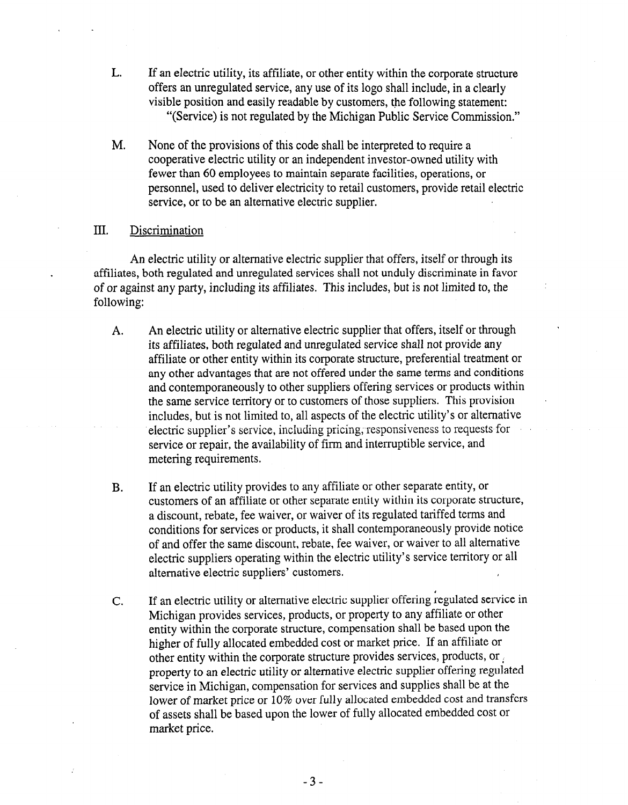- L. If an electric utility, its affiliate, or other entity within the corporate structure offers an unregulated service, any use of its logo shall include, in a clearly visible position and easily readable by customers, the following statement: "(Service) is not regulated by the Michigan Public Service Commission."
- M. None of the provisions of this code shall be interpreted to require a cooperative electric utility or an independent investor-owned utility with fewer than 60 employees to maintain separate facilities, operations, or personnel, used to deliver electricity to retail customers, provide retail electric service, or to be an alternative electric supplier.

### III. Discrimination

An electric utility or alternative electric supplier that offers, itself or through its affiliates, both regulated and unregulated services shall not unduly discriminate in favor of or against any party, including its affiliates. This includes, but is not limited to, the following:

- A. An electric utility or alternative electric supplier that offers, itself or through its affiliates, both regulated and unregulated service shall not provide any affiliate or other entity within its corporate structure, preferential treatment or any other advantages that are not offered under the same terms and conditions and contemporaneously to other suppliers offering services or products within the same service territory or to customers of those suppliers. This provision includes, but is not limited to, all aspects of the electric utility's or alternative  $m_{\text{e}}$  supplier suppliers suppliers of the creative analysis of anomalism; service or repair, the availability of firm and interruptible service, and service or repair, the availability of firm and interruptible service, and metering requirements.
- $\mathcal{L}$  if an electric utility provides to any affiliate or other separate entity, or other separate entity, or other separate entity, or other separate entity, or other separate entity, or other separate entity, or othe If an electric utility provides to any affinate or other separate entity, or customers of an affiliate or other separate entity within its corporate structure, a discount, rebate, fee waiver, or waiver of its regulated tariffed terms and conditions for services or products, it shall contemporaneously provide notice of and offer the same discount, rebate, fee waiver, or waiver to all alternative electric suppliers operating within the electric utility's service territory or all alternative electric suppliers' customers.
- C. If an electric utility or alternative electric supplier offering regulated service in If an electric utility or alternative electric supplier offering regulated service in Michigan provides services, products, or property to any affiliate or other entity within the corporate structure, compensation shall be based upon the higher of fully allocated embedded cost or market price. If an affiliate or other entity within the corporate structure provides services, products, or property to an electric utility or alternative electric supplier offering regulated service in Michigan, compensation for services and supplies shall be at the lower of market price or 10% over fully allocated embedded cost and transfers of assets shall be based upon the lower of fully allocated embedded cost or market price.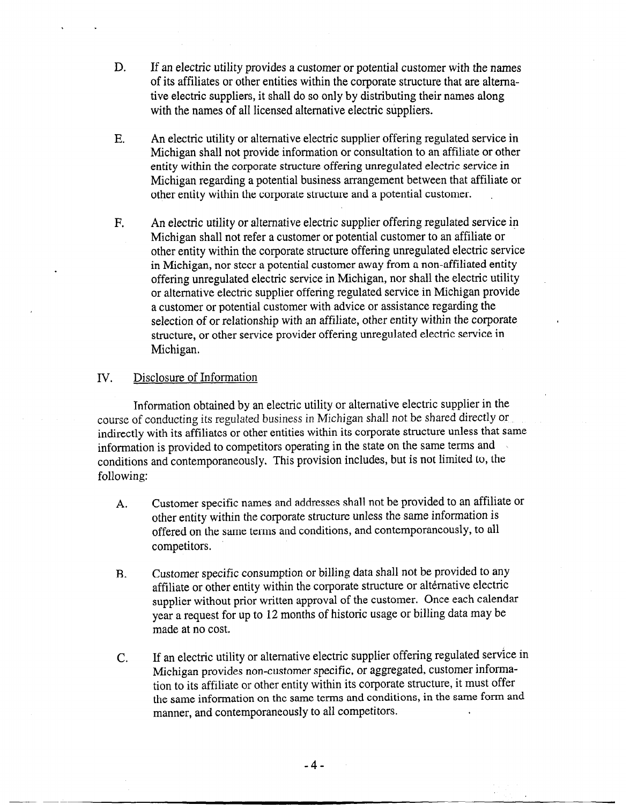- D. If an electric utility provides a customer or potential customer with the names of its affiliates or other entities within the corporate structure that are alternative electric suppliers, it shall do so only by distributing their names along with the names of all licensed alternative electric suppliers.
- E. An electric utility or alternative electric supplier offering regulated service in Michigan shall not provide information or consultation to an affiliate or other entity within the corporate structure offering unregulated electric service in Michigan regarding a potential business arrangement between that affiliate or other entity within the corporate structure and a potential customer.
- F. An electric utility or alternative electric supplier offering regulated service in Michigan shall not refer a customer or potential customer to an affiliate or other entity within the corporate structure offering unregulated electric service in Michigan, nor steer a potential customer away from a non-affiliated entity offering unregulated electric service in Michigan, nor shall the electric utility or alternative electric supplier offering regulated service in Michigan provide a customer or potential customer with advice or assistance regarding the selection of or relationship with an affiliate, other entity within the corporate structure, or other service provider offering unregulated electric service in Michigan.

# IV. Disclosure of Information

Information obtained by an electric utility or alternative electric supplier in the course of conducting its regulated business in Michigan shall not be shared directly or indirectly with its affiliates or other entities within its corporate structure unless that same information is provided to competitors operating in the state on the same terms and conditions and contemporaneously. This provision includes, but is not limited to, the following:

- A. Customer specific names and addresses shall not be provided to an affiliate or other entity within the corporate structure unless the same information is offered on the same terms and conditions, and contemporaneously, to all competitors.
- B. Customer specific consumption or billing data shall not be provided to any affiliate or other entity within the corporate structure or alternative electric supplier without prior written approval of the customer. Once each calendar year a request for up to 12 months of historic usage or billing data may be made at no cost.
- C. If an electric utility or alternative electric supplier offering regulated service in Michigan provides non-customer specific, or aggregated, customer information to its affiliate or other entity within its corporate structure, it must offer the same information on the same terms and conditions, in the same form and manner, and contemporaneously to all competitors.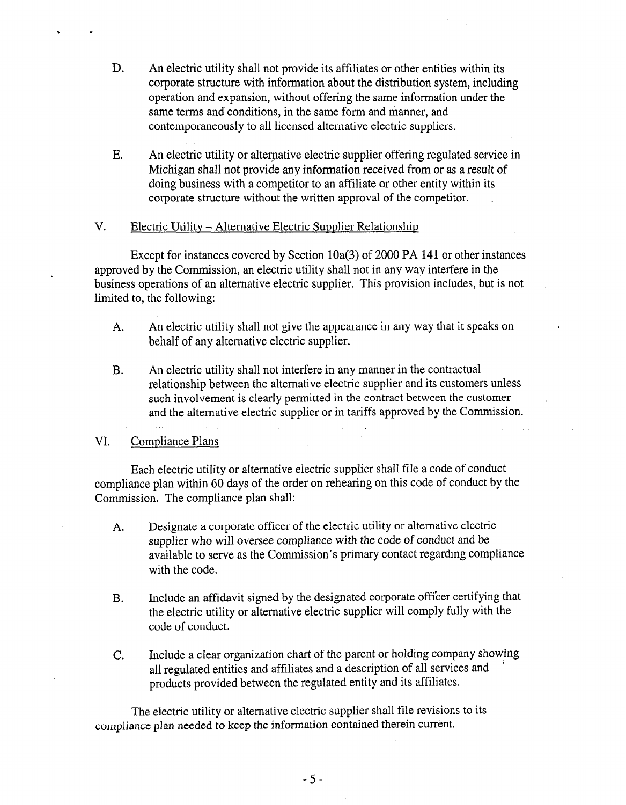- D. An electric utility shall not provide its affiliates or other entities within its corporate structure with information about the distribution system, including operation and expansion, without offering the same information under the same terms and conditions, in the same form and manner, and contemporaneously to all licensed alternative electric suppliers.
- E. An electric utility or alternative electric supplier offering regulated service in Michigan shall not provide any information received from or as a result of doing business with a competitor to an affiliate or other entity within its corporate structure without the written approval of the competitor.

### V. Electric Utility - Alternative Electric Supplier Relationship

Except for instances covered by Section lOa(3) of 2000 PA 141 or other instances approved by the Commission, an electric utility shall not in any way interfere in the business operations of an alternative electric supplier. This provision includes, but is not limited to, the following:

- A. An electric utility shall not give the appearance in any way that it speaks on behalf of any alternative electric supplier.
- B. An electric utility shall not interfere in any manner in the contractual relationship between the alternative electric supplier and its customers unless such involvement is clearly permitted in the contract between the customer and the alternative electric supplier or in tariffs approved by the Commission.

### VI. Compliance Plans

? <sup>c</sup>

Each electric utility or alternative electric supplier shall file a code of conduct Each electric utility of alternative electric supplier shall file a code of conduct compliance plan within 60 days of the order on rehearing on this code of conduct by the Commission. The compliance plan shall:

- A. Designate a corporate officer of the electric utility or alternative electric Designate a corporate officer of the electric utility or alternative electric supplier who will oversee compliance with the code of conduct and be available to serve as the Commission's primary contact regarding compliance with the code.
- $B.$ Include an affidavit signed by the designated corporate officer certifying tha the electric utility or alternative electric supplier will comply fully with the code of conduct.
- $\overline{C}$ . Include a clear organization chart of the parent or holding company showing all regulated entities and affiliates and a description of all services and products provided between the regulated entity and its affiliates.

The electric utility or alternative electric supplier shall file revisions to its compliance plan needed to keep the information contained therein current.